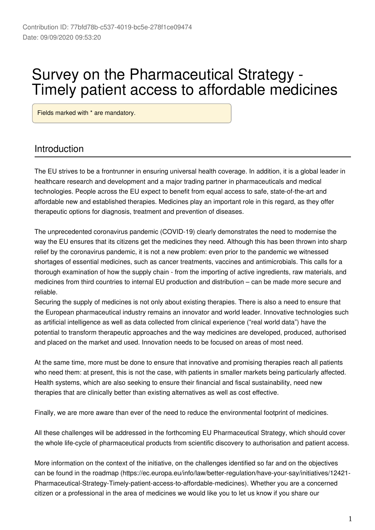# Survey on the Pharmaceutical Strategy - Timely patient access to affordable medicines

Fields marked with \* are mandatory.

# Introduction

The EU strives to be a frontrunner in ensuring universal health coverage. In addition, it is a global leader in healthcare research and development and a major trading partner in pharmaceuticals and medical technologies. People across the EU expect to benefit from equal access to safe, state-of-the-art and affordable new and established therapies. Medicines play an important role in this regard, as they offer therapeutic options for diagnosis, treatment and prevention of diseases.

The unprecedented coronavirus pandemic (COVID-19) clearly demonstrates the need to modernise the way the EU ensures that its citizens get the medicines they need. Although this has been thrown into sharp relief by the coronavirus pandemic, it is not a new problem: even prior to the pandemic we witnessed shortages of essential medicines, such as cancer treatments, vaccines and antimicrobials. This calls for a thorough examination of how the supply chain - from the importing of active ingredients, raw materials, and medicines from third countries to internal EU production and distribution – can be made more secure and reliable.

Securing the supply of medicines is not only about existing therapies. There is also a need to ensure that the European pharmaceutical industry remains an innovator and world leader. Innovative technologies such as artificial intelligence as well as data collected from clinical experience ("real world data") have the potential to transform therapeutic approaches and the way medicines are developed, produced, authorised and placed on the market and used. Innovation needs to be focused on areas of most need.

At the same time, more must be done to ensure that innovative and promising therapies reach all patients who need them: at present, this is not the case, with patients in smaller markets being particularly affected. Health systems, which are also seeking to ensure their financial and fiscal sustainability, need new therapies that are clinically better than existing alternatives as well as cost effective.

Finally, we are more aware than ever of the need to reduce the environmental footprint of medicines.

All these challenges will be addressed in the forthcoming EU Pharmaceutical Strategy, which should cover the whole life-cycle of pharmaceutical products from scientific discovery to authorisation and patient access.

More information on the context of the initiative, on the challenges identified so far and on the objectives can be found in the roadmap (https://ec.europa.eu/info/law/better-regulation/have-your-say/initiatives/12421- Pharmaceutical-Strategy-Timely-patient-access-to-affordable-medicines). Whether you are a concerned citizen or a professional in the area of medicines we would like you to let us know if you share our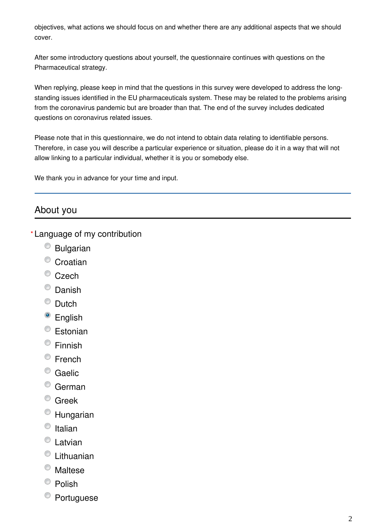objectives, what actions we should focus on and whether there are any additional aspects that we should cover.

After some introductory questions about yourself, the questionnaire continues with questions on the Pharmaceutical strategy.

When replying, please keep in mind that the questions in this survey were developed to address the longstanding issues identified in the EU pharmaceuticals system. These may be related to the problems arising from the coronavirus pandemic but are broader than that. The end of the survey includes dedicated questions on coronavirus related issues.

Please note that in this questionnaire, we do not intend to obtain data relating to identifiable persons. Therefore, in case you will describe a particular experience or situation, please do it in a way that will not allow linking to a particular individual, whether it is you or somebody else.

We thank you in advance for your time and input.

# About you

Language of my contribution **\***

- $<sup>°</sup>$  Bulgarian</sup>
- <sup>o</sup> Croatian
- C<sub>zech</sub>
- <sup>O</sup> Danish
- C Dutch
- <sup>o</sup> English
- Estonian
- Finnish
- <sup>©</sup> French
- <sup>O</sup> Gaelic
- <sup>o</sup> German
- <sup>o</sup> Greek
- Hungarian
- $\circ$  Italian
- Latvian
- Lithuanian
- Maltese
- $\bullet$  Polish
- Portuguese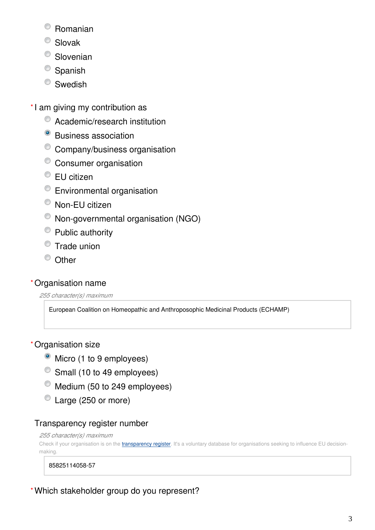- Romanian
- <sup>O</sup> Slovak
- <sup>O</sup> Slovenian
- $\bullet$  Spanish
- <sup>O</sup> Swedish
- \*I am giving my contribution as
	- $\bullet$  Academic/research institution
	- <sup>o</sup> Business association
	- Company/business organisation
	- Consumer organisation
	- <sup>●</sup> EU citizen
	- Environmental organisation
	- Non-EU citizen
	- Non-governmental organisation (NGO)
	- Public authority
	- **Trade union**
	- <sup>O</sup> Other

# Organisation name **\***

*255 character(s) maximum*

European Coalition on Homeopathic and Anthroposophic Medicinal Products (ECHAMP)

# Organisation size **\***

- Micro (1 to 9 employees)
- Small (10 to 49 employees)
- $\bullet$  Medium (50 to 249 employees)
- Large (250 or more)

# Transparency register number

#### *255 character(s) maximum*

Check if your organisation is on the [transparency register](http://ec.europa.eu/transparencyregister/public/homePage.do?redir=false&locale=en). It's a voluntary database for organisations seeking to influence EU decisionmaking.

#### 85825114058-57

Which stakeholder group do you represent? **\***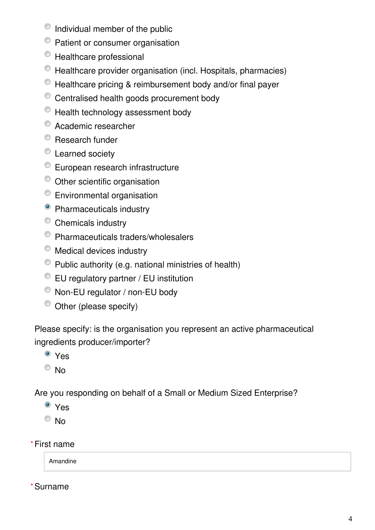- $\bullet$  Individual member of the public
- <sup>©</sup> Patient or consumer organisation
- $\bullet$  Healthcare professional
- Healthcare provider organisation (incl. Hospitals, pharmacies)
- $\bullet$  Healthcare pricing & reimbursement body and/or final payer
- $\bullet$  Centralised health goods procurement body
- $\bullet$  Health technology assessment body
- Academic researcher
- <sup>O</sup> Research funder
- Learned society
- <sup>C</sup> European research infrastructure
- $\bullet$  Other scientific organisation
- Environmental organisation
- <sup>O</sup> Pharmaceuticals industry
- <sup>O</sup> Chemicals industry
- Pharmaceuticals traders/wholesalers
- $\bullet$  Medical devices industry
- $\bullet$  Public authority (e.g. national ministries of health)
- EU regulatory partner / EU institution
- Non-EU regulator / non-EU body
- $\bullet$  Other (please specify)

Please specify: is the organisation you represent an active pharmaceutical ingredients producer/importer?

- <sup>O</sup> Yes
- $\circ$  No

Are you responding on behalf of a Small or Medium Sized Enterprise?

- <sup>o</sup> Yes
- $\odot$  No
- First name **\***

Amandine

Surname **\***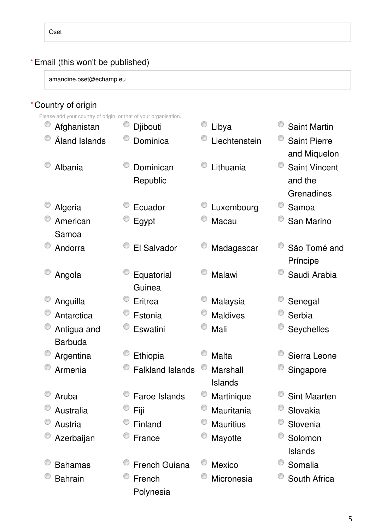#### Email (this won't be published) **\***

amandine.oset@echamp.eu

### Country of origin **\***

Please add your country of origin, or that of your organisation.

| Afghanistan    | Djibouti                | Libya            | <b>Saint Martin</b>  |
|----------------|-------------------------|------------------|----------------------|
| Åland Islands  | Dominica                | Liechtenstein    | <b>Saint Pierre</b>  |
|                |                         |                  | and Miquelon         |
| Albania        | Dominican               | Lithuania        | <b>Saint Vincent</b> |
|                | Republic                |                  | and the              |
|                |                         |                  | Grenadines           |
| Algeria        | Ecuador                 | Luxembourg       | Samoa                |
| American       | Egypt                   | Macau            | San Marino           |
| Samoa          |                         |                  |                      |
| Andorra        | El Salvador             | Madagascar       | São Tomé and         |
|                |                         |                  | Príncipe             |
| Angola         | Equatorial              | Malawi           | Saudi Arabia         |
|                | Guinea                  |                  |                      |
| Anguilla       | Eritrea                 | Malaysia         | Senegal              |
| Antarctica     | Estonia                 | <b>Maldives</b>  | Serbia               |
| Antigua and    | Eswatini                | Mali             | Seychelles           |
| <b>Barbuda</b> |                         |                  |                      |
| Argentina      | Ethiopia                | <b>Malta</b>     | Sierra Leone         |
| Armenia        | <b>Falkland Islands</b> | Marshall         | Singapore            |
|                |                         | <b>Islands</b>   |                      |
| Aruba          | <b>Faroe Islands</b>    | Martinique       | <b>Sint Maarten</b>  |
| Australia      | Fiji                    | Mauritania       | Slovakia             |
| Austria        | Finland                 | <b>Mauritius</b> | Slovenia             |
| Azerbaijan     | France                  | Mayotte          | Solomon              |
|                |                         |                  | <b>Islands</b>       |
| <b>Bahamas</b> | <b>French Guiana</b>    | <b>Mexico</b>    | Somalia              |
| <b>Bahrain</b> | French                  | Micronesia       | South Africa         |
|                | Polynesia               |                  |                      |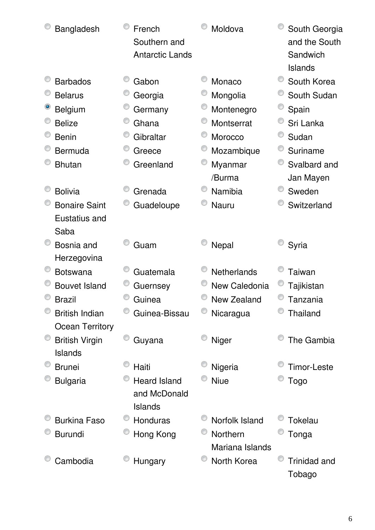| Bangladesh             | French<br>Southern and<br><b>Antarctic Lands</b> | Moldova                     | South Georgia<br>and the South<br>Sandwich<br>Islands |
|------------------------|--------------------------------------------------|-----------------------------|-------------------------------------------------------|
| <b>Barbados</b>        | Gabon                                            | Monaco                      | South Korea                                           |
| <b>Belarus</b>         | Georgia                                          | Mongolia                    | South Sudan                                           |
| <b>Belgium</b>         | Germany                                          | Montenegro                  | Spain                                                 |
| <b>Belize</b>          | Ghana                                            | Montserrat                  | Sri Lanka                                             |
| <b>Benin</b>           | Gibraltar                                        | Morocco                     | Sudan                                                 |
| Bermuda                | Greece                                           | Mozambique                  | Suriname                                              |
| <b>Bhutan</b>          | Greenland                                        | Myanmar                     | Svalbard and                                          |
|                        |                                                  | /Burma                      | Jan Mayen                                             |
| <b>Bolivia</b>         | Grenada                                          | Namibia                     | Sweden                                                |
| <b>Bonaire Saint</b>   | Guadeloupe                                       | <b>Nauru</b>                | Switzerland                                           |
| Eustatius and          |                                                  |                             |                                                       |
| Saba                   |                                                  |                             |                                                       |
| Bosnia and             | Guam                                             | Nepal                       | Syria                                                 |
| Herzegovina            |                                                  |                             |                                                       |
| <b>Botswana</b>        | Guatemala                                        | <b>Netherlands</b>          | <b>Taiwan</b>                                         |
| <b>Bouvet Island</b>   | Guernsey                                         | New Caledonia               | Tajikistan                                            |
| <b>Brazil</b>          | Guinea                                           | New Zealand                 | Tanzania                                              |
| <b>British Indian</b>  | Guinea-Bissau                                    | Nicaragua                   | <b>Thailand</b>                                       |
| <b>Ocean Territory</b> |                                                  |                             |                                                       |
| <b>British Virgin</b>  | Guyana                                           | Niger                       | The Gambia                                            |
| <b>Islands</b>         |                                                  |                             |                                                       |
| <b>Brunei</b>          | Haiti                                            | Nigeria                     | <b>Timor-Leste</b>                                    |
| <b>Bulgaria</b>        | <b>Heard Island</b>                              | <b>Niue</b>                 | <b>Togo</b>                                           |
|                        | and McDonald<br><b>Islands</b>                   |                             |                                                       |
| <b>Burkina Faso</b>    | Honduras                                         | Norfolk Island              | Tokelau                                               |
|                        |                                                  |                             |                                                       |
| <b>Burundi</b>         | Hong Kong                                        | Northern<br>Mariana Islands | Tonga                                                 |
| Cambodia               | Hungary                                          | North Korea                 | <b>Trinidad and</b>                                   |
|                        |                                                  |                             | Tobago                                                |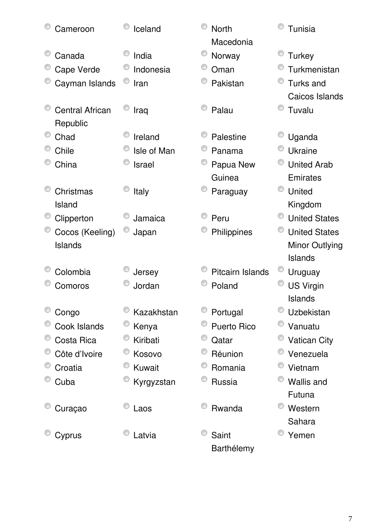| Cameroon                           | Iceland       | <b>North</b><br>Macedonia | Tunisia               |
|------------------------------------|---------------|---------------------------|-----------------------|
| Canada                             | India         | Norway                    | <b>Turkey</b>         |
| Cape Verde                         | Indonesia     | Oman                      | Turkmenistan          |
| Cayman Islands                     | Iran          | Pakistan                  | <b>Turks and</b>      |
|                                    |               |                           | Caicos Islands        |
| <b>Central African</b><br>Republic | Iraq          | Palau                     | Tuvalu                |
| Chad                               | Ireland       | Palestine                 | Uganda                |
| Chile                              | Isle of Man   | Panama                    | Ukraine               |
| China                              | <b>Israel</b> | Papua New                 | <b>United Arab</b>    |
|                                    |               | Guinea                    | Emirates              |
| Christmas                          | <b>Italy</b>  | Paraguay                  | <b>United</b>         |
| Island                             |               |                           | Kingdom               |
| Clipperton                         | Jamaica       | Peru                      | <b>United States</b>  |
| Cocos (Keeling)                    | Japan         | Philippines               | <b>United States</b>  |
| Islands                            |               |                           | <b>Minor Outlying</b> |
|                                    |               |                           | Islands               |
| Colombia                           | Jersey        | <b>Pitcairn Islands</b>   | Uruguay               |
| Comoros                            | Jordan        | Poland                    | <b>US Virgin</b>      |
|                                    |               |                           | <b>Islands</b>        |
| Congo                              | Kazakhstan    | Portugal                  | Uzbekistan            |
| Cook Islands                       | Kenya         | <b>Puerto Rico</b>        | Vanuatu               |
| Costa Rica                         | Kiribati      | Qatar                     | <b>Vatican City</b>   |
| Côte d'Ivoire                      | Kosovo        | Réunion                   | Venezuela             |
| Croatia                            | Kuwait        | Romania                   | Vietnam               |
| Cuba                               | Kyrgyzstan    | Russia                    | <b>Wallis and</b>     |
|                                    |               |                           | Futuna                |
| Curaçao                            | Laos          | Rwanda                    | O<br>Western          |
|                                    |               |                           | Sahara                |
| Cyprus                             | Latvia        | Saint                     | Yemen                 |
|                                    |               | Barthélemy                |                       |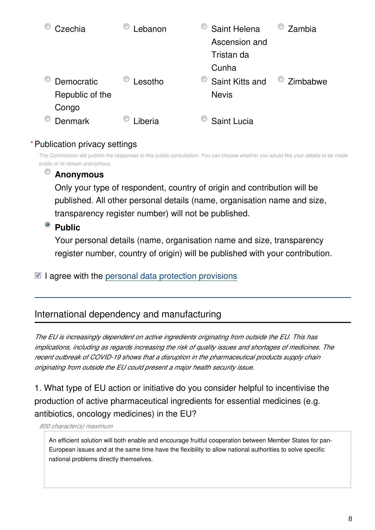| Czechia         | .ebanon | Saint Helena    | Zambia   |
|-----------------|---------|-----------------|----------|
|                 |         | Ascension and   |          |
|                 |         | Tristan da      |          |
|                 |         | Cunha           |          |
| Democratic      | _esotho | Saint Kitts and | Zimbabwe |
| Republic of the |         | <b>Nevis</b>    |          |
| Congo           |         |                 |          |
| <b>Denmark</b>  | .iberia | Saint Lucia     |          |

#### Publication privacy settings **\***

The Commission will publish the responses to this public consultation. You can choose whether you would like your details to be made public or to remain anonymous.

#### **Anonymous**

Only your type of respondent, country of origin and contribution will be published. All other personal details (name, organisation name and size, transparency register number) will not be published.

### <sup>o</sup> Public

Your personal details (name, organisation name and size, transparency register number, country of origin) will be published with your contribution.

 $\blacksquare$  I agree with the [personal data protection provisions](https://ec.europa.eu/info/law/better-regulation/specific-privacy-statement_en)

# International dependency and manufacturing

*The EU is increasingly dependent on active ingredients originating from outside the EU. This has implications, including as regards increasing the risk of quality issues and shortages of medicines. The recent outbreak of COVID-19 shows that a disruption in the pharmaceutical products supply chain originating from outside the EU could present a major health security issue.*

1. What type of EU action or initiative do you consider helpful to incentivise the production of active pharmaceutical ingredients for essential medicines (e.g. antibiotics, oncology medicines) in the EU?

*800 character(s) maximum*

An efficient solution will both enable and encourage fruitful cooperation between Member States for pan-European issues and at the same time have the flexibility to allow national authorities to solve specific national problems directly themselves.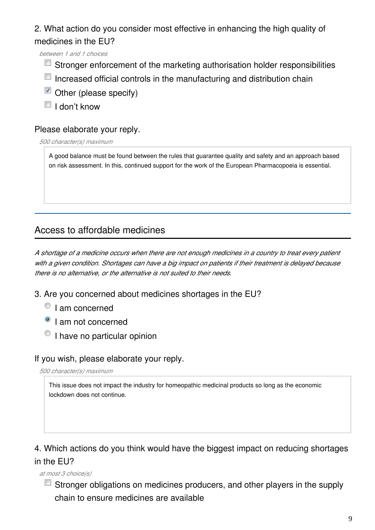2. What action do you consider most effective in enhancing the high quality of medicines in the EU?

*between 1 and 1 choices*

- $\Box$  Stronger enforcement of the marketing authorisation holder responsibilities
- $\Box$  Increased official controls in the manufacturing and distribution chain
- $\blacksquare$  Other (please specify)
- $\blacksquare$  I don't know

#### Please elaborate your reply.

*500 character(s) maximum*

A good balance must be found between the rules that guarantee quality and safety and an approach based on risk assessment. In this, continued support for the work of the European Pharmacopoeia is essential.

# Access to affordable medicines

*A shortage of a medicine occurs when there are not enough medicines in a country to treat every patient with a given condition. Shortages can have a big impact on patients if their treatment is delayed because there is no alternative, or the alternative is not suited to their needs.*

- 3. Are you concerned about medicines shortages in the EU?
	- <sup>1</sup> I am concerned
	- <sup>O</sup> I am not concerned
	- $\circ$  I have no particular opinion

#### If you wish, please elaborate your reply.

*500 character(s) maximum*

This issue does not impact the industry for homeopathic medicinal products so long as the economic lockdown does not continue.

# 4. Which actions do you think would have the biggest impact on reducing shortages in the EU?

*at most 3 choice(s)*

**Stronger obligations on medicines producers, and other players in the supply** chain to ensure medicines are available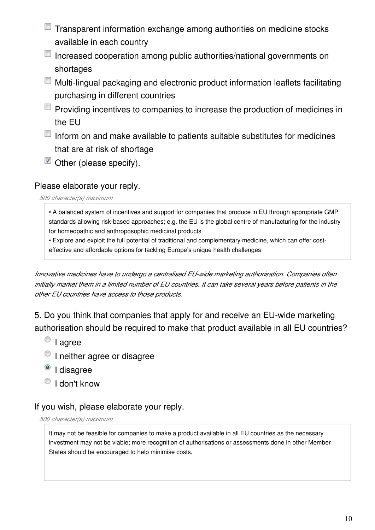- Transparent information exchange among authorities on medicine stocks available in each country
- Increased cooperation among public authorities/national governments on shortages
- Multi-lingual packaging and electronic product information leaflets facilitating purchasing in different countries
- $\Box$  Providing incentives to companies to increase the production of medicines in the EU
- $\Box$  Inform on and make available to patients suitable substitutes for medicines that are at risk of shortage
- $\blacksquare$  Other (please specify).

#### Please elaborate your reply.

*500 character(s) maximum*

• A balanced system of incentives and support for companies that produce in EU through appropriate GMP standards allowing risk-based approaches; e.g. the EU is the global centre of manufacturing for the industry for homeopathic and anthroposophic medicinal products

• Explore and exploit the full potential of traditional and complementary medicine, which can offer costeffective and affordable options for tackling Europe's unique health challenges

*Innovative medicines have to undergo a centralised EU-wide marketing authorisation. Companies often initially market them in a limited number of EU countries. It can take several years before patients in the other EU countries have access to those products.*

5. Do you think that companies that apply for and receive an EU-wide marketing authorisation should be required to make that product available in all EU countries?

- $\bullet$  I agree
- <sup>O</sup> I neither agree or disagree
- <sup>o</sup> I disagree
- $\bigcirc$  I don't know

#### If you wish, please elaborate your reply.

*500 character(s) maximum*

It may not be feasible for companies to make a product available in all EU countries as the necessary investment may not be viable; more recognition of authorisations or assessments done in other Member States should be encouraged to help minimise costs.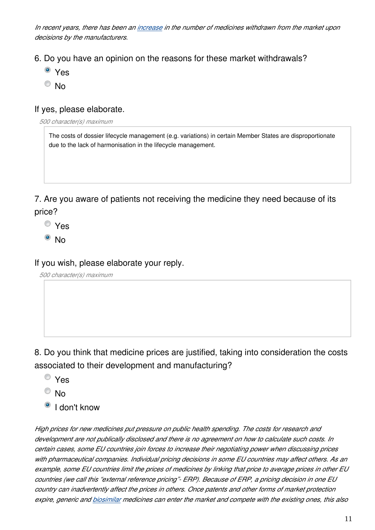*In recent years, there has been an [increase](https://www.ema.europa.eu/en/documents/annual-report/2018-annual-report-european-medicines-agency_en.pdf) in the number of medicines withdrawn from the market upon decisions by the manufacturers.*

- 6. Do you have an opinion on the reasons for these market withdrawals?
	- Yes
	- $\odot$  No

#### If yes, please elaborate.

*500 character(s) maximum*

The costs of dossier lifecycle management (e.g. variations) in certain Member States are disproportionate due to the lack of harmonisation in the lifecycle management.

7. Are you aware of patients not receiving the medicine they need because of its price?

- Yes
- $\bullet$  No

If you wish, please elaborate your reply.

*500 character(s) maximum*

8. Do you think that medicine prices are justified, taking into consideration the costs associated to their development and manufacturing?

- Yes
- $\odot$  No
- <sup>o</sup> I don't know

*High prices for new medicines put pressure on public health spending. The costs for research and development are not publically disclosed and there is no agreement on how to calculate such costs. In certain cases, some EU countries join forces to increase their negotiating power when discussing prices with pharmaceutical companies. Individual pricing decisions in some EU countries may affect others. As an example, some EU countries limit the prices of medicines by linking that price to average prices in other EU countries (we call this "external reference pricing"- ERP). Because of ERP, a pricing decision in one EU country can inadvertently affect the prices in others. Once patents and other forms of market protection expire, generic and [biosimilar](https://www.ema.europa.eu/en/human-regulatory/overview/biosimilar-medicines-overview) medicines can enter the market and compete with the existing ones, this also*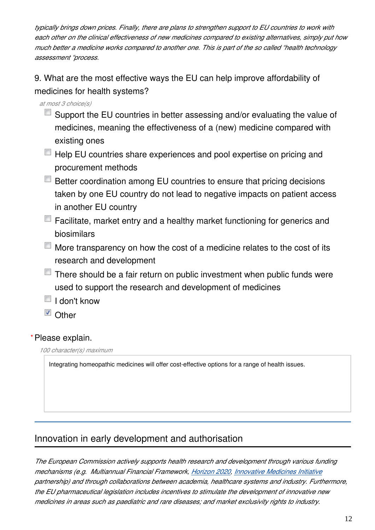*typically brings down prices. Finally, there are plans to strengthen support to EU countries to work with each other on the clinical effectiveness of new medicines compared to existing alternatives, simply put how much better a medicine works compared to another one. This is part of the so called "health technology assessment "process.*

9. What are the most effective ways the EU can help improve affordability of medicines for health systems?

*at most 3 choice(s)*

- $\blacksquare$  Support the EU countries in better assessing and/or evaluating the value of medicines, meaning the effectiveness of a (new) medicine compared with existing ones
- $\blacksquare$  Help EU countries share experiences and pool expertise on pricing and procurement methods
- Better coordination among EU countries to ensure that pricing decisions taken by one EU country do not lead to negative impacts on patient access in another EU country
- $\Box$  Facilitate, market entry and a healthy market functioning for generics and biosimilars
- $\Box$  More transparency on how the cost of a medicine relates to the cost of its research and development
- $\blacksquare$  There should be a fair return on public investment when public funds were used to support the research and development of medicines
- $\blacksquare$  I don't know
- **V** Other

#### Please explain. **\***

*100 character(s) maximum*

Integrating homeopathic medicines will offer cost-effective options for a range of health issues.

# Innovation in early development and authorisation

*The European Commission actively supports health research and development through various funding mechanisms (e.g. Multiannual Financial Framework, [Horizon 2020](https://ec.europa.eu/programmes/horizon2020/), [Innovative Medicines Initiative](https://www.imi.europa.eu/) partnership) and through collaborations between academia, healthcare systems and industry. Furthermore, the EU pharmaceutical legislation includes incentives to stimulate the development of innovative new medicines in areas such as paediatric and rare diseases; and market exclusivity rights to industry.*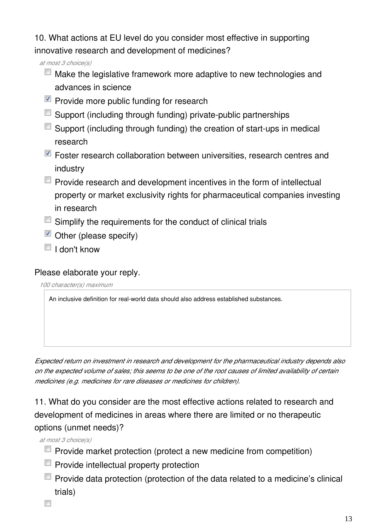10. What actions at EU level do you consider most effective in supporting innovative research and development of medicines?

*at most 3 choice(s)*

- $\Box$  Make the legislative framework more adaptive to new technologies and advances in science
- $\blacksquare$  Provide more public funding for research
- Support (including through funding) private-public partnerships
- Support (including through funding) the creation of start-ups in medical research
- **Foster research collaboration between universities, research centres and** industry
- $\Box$  Provide research and development incentives in the form of intellectual property or market exclusivity rights for pharmaceutical companies investing in research
- **Simplify the requirements for the conduct of clinical trials**
- $\blacksquare$  Other (please specify)
- $\Box$  I don't know

#### Please elaborate your reply.

*100 character(s) maximum*

An inclusive definition for real-world data should also address established substances.

*Expected return on investment in research and development for the pharmaceutical industry depends also on the expected volume of sales; this seems to be one of the root causes of limited availability of certain medicines (e.g. medicines for rare diseases or medicines for children).*

11. What do you consider are the most effective actions related to research and development of medicines in areas where there are limited or no therapeutic options (unmet needs)?

*at most 3 choice(s)*

- **Provide market protection (protect a new medicine from competition)**
- $\Box$  Provide intellectual property protection
- $\Box$  Provide data protection (protection of the data related to a medicine's clinical trials)
- $\blacksquare$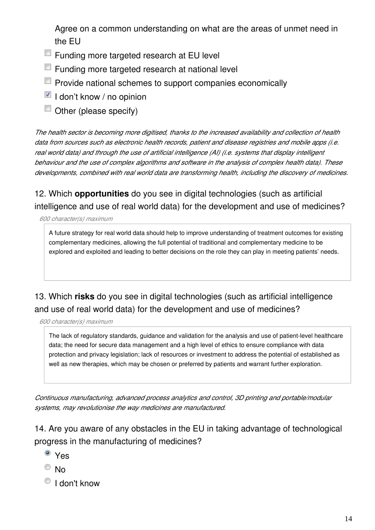Agree on a common understanding on what are the areas of unmet need in the EU

- **Funding more targeted research at EU level**
- Funding more targeted research at national level
- **Provide national schemes to support companies economically**
- $\blacksquare$  I don't know / no opinion
- Other (please specify)

*The health sector is becoming more digitised, thanks to the increased availability and collection of health data from sources such as electronic health records, patient and disease registries and mobile apps (i.e. real world data) and through the use of artificial intelligence (AI) (i.e. systems that display intelligent behaviour and the use of complex algorithms and software in the analysis of complex health data). These developments, combined with real world data are transforming health, including the discovery of medicines.*

12. Which **opportunities** do you see in digital technologies (such as artificial intelligence and use of real world data) for the development and use of medicines?

*600 character(s) maximum*

A future strategy for real world data should help to improve understanding of treatment outcomes for existing complementary medicines, allowing the full potential of traditional and complementary medicine to be explored and exploited and leading to better decisions on the role they can play in meeting patients' needs.

# 13. Which **risks** do you see in digital technologies (such as artificial intelligence and use of real world data) for the development and use of medicines?

*600 character(s) maximum*

The lack of regulatory standards, guidance and validation for the analysis and use of patient-level healthcare data; the need for secure data management and a high level of ethics to ensure compliance with data protection and privacy legislation; lack of resources or investment to address the potential of established as well as new therapies, which may be chosen or preferred by patients and warrant further exploration.

*Continuous manufacturing, advanced process analytics and control, 3D printing and portable/modular systems, may revolutionise the way medicines are manufactured.*

14. Are you aware of any obstacles in the EU in taking advantage of technological progress in the manufacturing of medicines?

- <sup>o</sup> Yes
- $\odot$  No
- <sup>O</sup> I don't know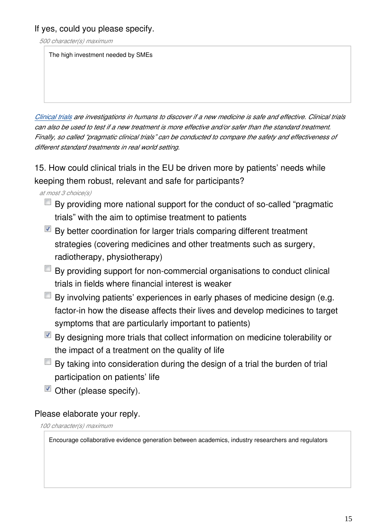If yes, could you please specify.

*500 character(s) maximum*

The high investment needed by SMEs

*[Clinical trials](https://www.ema.europa.eu/en/glossary/clinical-trial) are investigations in humans to discover if a new medicine is safe and effective. Clinical trials can also be used to test if a new treatment is more effective and/or safer than the standard treatment. Finally, so called "pragmatic clinical trials" can be conducted to compare the safety and effectiveness of different standard treatments in real world setting.*

15. How could clinical trials in the EU be driven more by patients' needs while keeping them robust, relevant and safe for participants?

*at most 3 choice(s)*

- $\blacksquare$  By providing more national support for the conduct of so-called "pragmatic trials" with the aim to optimise treatment to patients
- $\blacksquare$  By better coordination for larger trials comparing different treatment strategies (covering medicines and other treatments such as surgery, radiotherapy, physiotherapy)
- $\Box$  By providing support for non-commercial organisations to conduct clinical trials in fields where financial interest is weaker
- $\Box$  By involving patients' experiences in early phases of medicine design (e.g. factor-in how the disease affects their lives and develop medicines to target symptoms that are particularly important to patients)
- $\blacksquare$  By designing more trials that collect information on medicine tolerability or the impact of a treatment on the quality of life
- $\Box$  By taking into consideration during the design of a trial the burden of trial participation on patients' life
- $\blacksquare$  Other (please specify).

Please elaborate your reply.

*100 character(s) maximum*

Encourage collaborative evidence generation between academics, industry researchers and regulators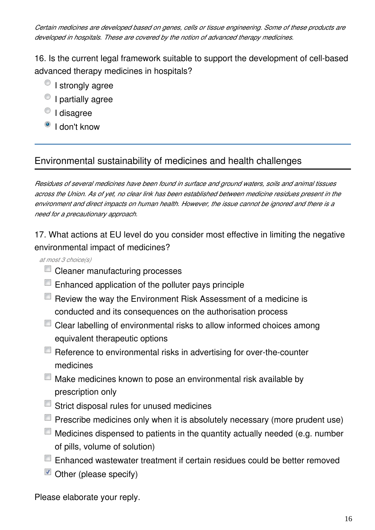*Certain medicines are developed based on genes, cells or tissue engineering. Some of these products are developed in hospitals. These are covered by the notion of advanced therapy medicines.*

16. Is the current legal framework suitable to support the development of cell-based advanced therapy medicines in hospitals?

- $\bullet$  I strongly agree
- $\bullet$  I partially agree
- <sup>O</sup> I disagree
- <sup>o</sup> I don't know

# Environmental sustainability of medicines and health challenges

*Residues of several medicines have been found in surface and ground waters, soils and animal tissues across the Union. As of yet, no clear link has been established between medicine residues present in the environment and direct impacts on human health. However, the issue cannot be ignored and there is a need for a precautionary approach.*

17. What actions at EU level do you consider most effective in limiting the negative environmental impact of medicines?

*at most 3 choice(s)*

- **Cleaner manufacturing processes**
- **E** Enhanced application of the polluter pays principle
- $\Box$  Review the way the Environment Risk Assessment of a medicine is conducted and its consequences on the authorisation process
- Clear labelling of environmental risks to allow informed choices among equivalent therapeutic options
- Reference to environmental risks in advertising for over-the-counter medicines
- Make medicines known to pose an environmental risk available by prescription only
- Strict disposal rules for unused medicines
- $\Box$  Prescribe medicines only when it is absolutely necessary (more prudent use)
- $\Box$  Medicines dispensed to patients in the quantity actually needed (e.g. number of pills, volume of solution)
- Enhanced wastewater treatment if certain residues could be better removed
- $\blacksquare$  Other (please specify)

Please elaborate your reply.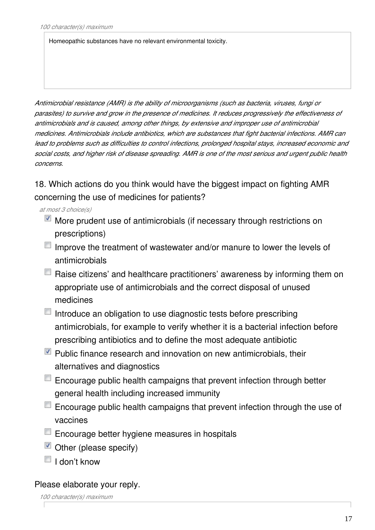Homeopathic substances have no relevant environmental toxicity.

*Antimicrobial resistance (AMR) is the ability of microorganisms (such as bacteria, viruses, fungi or parasites) to survive and grow in the presence of medicines. It reduces progressively the effectiveness of antimicrobials and is caused, among other things, by extensive and improper use of antimicrobial medicines. Antimicrobials include antibiotics, which are substances that fight bacterial infections. AMR can lead to problems such as difficulties to control infections, prolonged hospital stays, increased economic and social costs, and higher risk of disease spreading. AMR is one of the most serious and urgent public health concerns.*

18. Which actions do you think would have the biggest impact on fighting AMR concerning the use of medicines for patients?

- *at most 3 choice(s)*
	- More prudent use of antimicrobials (if necessary through restrictions on prescriptions)
	- $\blacksquare$  Improve the treatment of wastewater and/or manure to lower the levels of antimicrobials
	- $\blacksquare$  Raise citizens' and healthcare practitioners' awareness by informing them on appropriate use of antimicrobials and the correct disposal of unused medicines
	- $\blacksquare$  Introduce an obligation to use diagnostic tests before prescribing antimicrobials, for example to verify whether it is a bacterial infection before prescribing antibiotics and to define the most adequate antibiotic
	- $\blacksquare$  Public finance research and innovation on new antimicrobials, their alternatives and diagnostics
	- $\Box$  Encourage public health campaigns that prevent infection through better general health including increased immunity
	- $\Box$  Encourage public health campaigns that prevent infection through the use of vaccines
	- **Encourage better hygiene measures in hospitals**
	- $\blacksquare$  Other (please specify)
	- $\blacksquare$  I don't know

# Please elaborate your reply.

*100 character(s) maximum*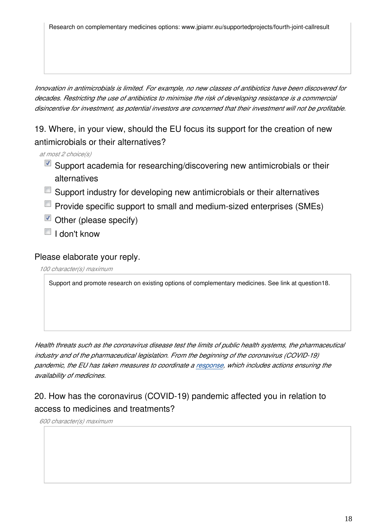Research on complementary medicines options: www.jpiamr.eu/supportedprojects/fourth-joint-callresult

*Innovation in antimicrobials is limited. For example, no new classes of antibiotics have been discovered for decades. Restricting the use of antibiotics to minimise the risk of developing resistance is a commercial disincentive for investment, as potential investors are concerned that their investment will not be profitable.*

19. Where, in your view, should the EU focus its support for the creation of new antimicrobials or their alternatives?

- *at most 2 choice(s)*
	- Support academia for researching/discovering new antimicrobials or their alternatives
	- Support industry for developing new antimicrobials or their alternatives
	- **Provide specific support to small and medium-sized enterprises (SMEs)**
	- $\blacksquare$  Other (please specify)
	- $\blacksquare$  I don't know

#### Please elaborate your reply.

*100 character(s) maximum*

Support and promote research on existing options of complementary medicines. See link at question18.

*Health threats such as the coronavirus disease test the limits of public health systems, the pharmaceutical industry and of the pharmaceutical legislation. From the beginning of the coronavirus (COVID-19) pandemic, the EU has taken measures to coordinate a [response](https://ec.europa.eu/info/live-work-travel-eu/health/coronavirus-response_en), which includes actions ensuring the availability of medicines.*

# 20. How has the coronavirus (COVID-19) pandemic affected you in relation to access to medicines and treatments?

*600 character(s) maximum*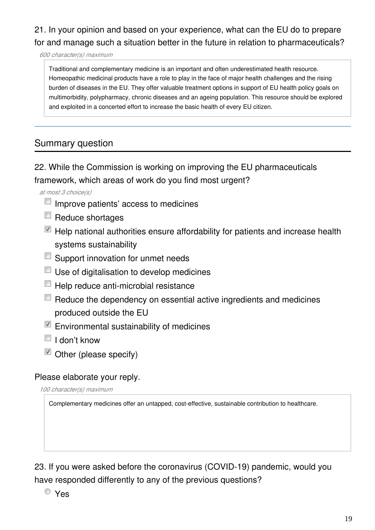# 21. In your opinion and based on your experience, what can the EU do to prepare for and manage such a situation better in the future in relation to pharmaceuticals?

*600 character(s) maximum*

Traditional and complementary medicine is an important and often underestimated health resource. Homeopathic medicinal products have a role to play in the face of major health challenges and the rising burden of diseases in the EU. They offer valuable treatment options in support of EU health policy goals on multimorbidity, polypharmacy, chronic diseases and an ageing population. This resource should be explored and exploited in a concerted effort to increase the basic health of every EU citizen.

# Summary question

22. While the Commission is working on improving the EU pharmaceuticals framework, which areas of work do you find most urgent?

*at most 3 choice(s)*

- $\Box$  Improve patients' access to medicines
- $\Box$  Reduce shortages
- $\blacksquare$  Help national authorities ensure affordability for patients and increase health systems sustainability
- **Support innovation for unmet needs**
- Use of digitalisation to develop medicines
- $\Box$  Help reduce anti-microbial resistance
- $\Box$  Reduce the dependency on essential active ingredients and medicines produced outside the EU
- $\blacksquare$  Environmental sustainability of medicines
- $\Box$  I don't know
- $\blacksquare$  Other (please specify)

#### Please elaborate your reply.

*100 character(s) maximum*

Complementary medicines offer an untapped, cost-effective, sustainable contribution to healthcare.

23. If you were asked before the coronavirus (COVID-19) pandemic, would you have responded differently to any of the previous questions?

Yes